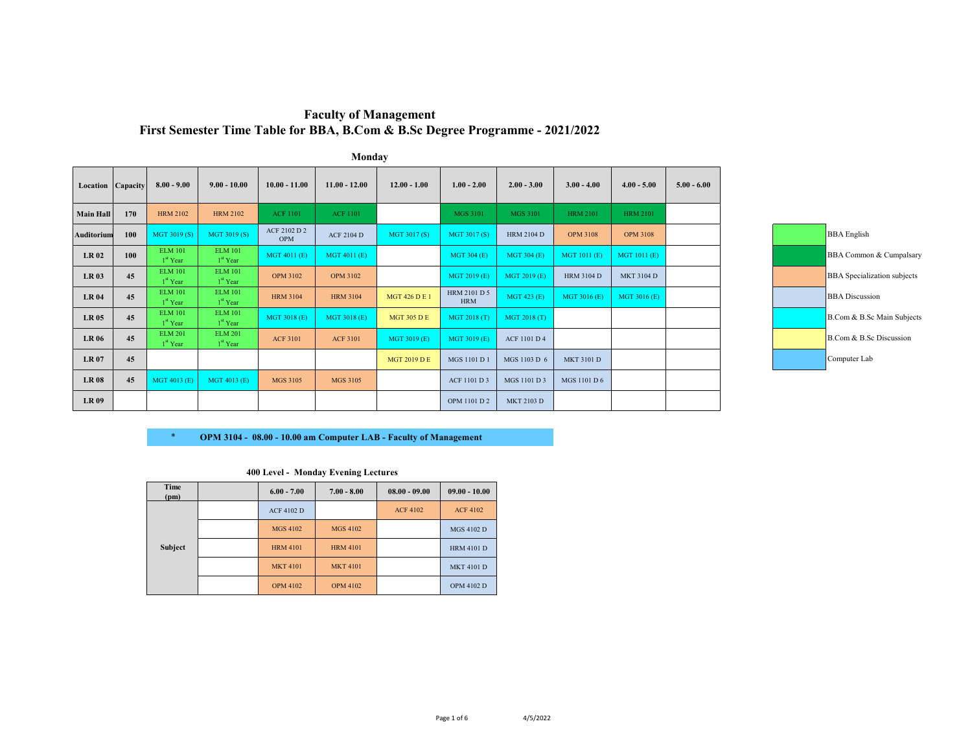|                   | Monday |                                        |                                        |                            |                   |                      |                            |                     |                   |                     |               |
|-------------------|--------|----------------------------------------|----------------------------------------|----------------------------|-------------------|----------------------|----------------------------|---------------------|-------------------|---------------------|---------------|
| Location Capacity |        | $8.00 - 9.00$                          | $9.00 - 10.00$                         | $10.00 - 11.00$            | $11.00 - 12.00$   | $12.00 - 1.00$       | $1.00 - 2.00$              | $2.00 - 3.00$       | $3.00 - 4.00$     | $4.00 - 5.00$       | $5.00 - 6.00$ |
| <b>Main Hall</b>  | 170    | <b>HRM 2102</b>                        | <b>HRM 2102</b>                        | <b>ACF 1101</b>            | <b>ACF 1101</b>   |                      | <b>MGS 3101</b>            | <b>MGS 3101</b>     | <b>HRM 2101</b>   | <b>HRM 2101</b>     |               |
| <b>Auditorium</b> | 100    | MGT 3019(S)                            | MGT 3019 (S)                           | ACF 2102 D 2<br><b>OPM</b> | <b>ACF 2104 D</b> | MGT 3017(S)          | MGT 3017(S)                | <b>HRM 2104 D</b>   | <b>OPM 3108</b>   | <b>OPM 3108</b>     |               |
| <b>LR02</b>       | 100    | <b>ELM 101</b><br>1 <sup>st</sup> Year | <b>ELM 101</b><br>1 <sup>st</sup> Year | MGT 4011 (E)               | MGT 4011 (E)      |                      | MGT 304 (E)                | <b>MGT 304 (E)</b>  | MGT 1011 (E)      | <b>MGT 1011 (E)</b> |               |
| <b>LR03</b>       | 45     | <b>ELM 101</b><br>1 <sup>st</sup> Year | <b>ELM 101</b><br>1 <sup>st</sup> Year | <b>OPM 3102</b>            | <b>OPM 3102</b>   |                      | MGT 2019 (E)               | MGT 2019 (E)        | <b>HRM 3104 D</b> | <b>MKT 3104 D</b>   |               |
| <b>LR 04</b>      | 45     | <b>ELM 101</b><br>1 <sup>st</sup> Year | <b>ELM 101</b><br>1 <sup>st</sup> Year | <b>HRM 3104</b>            | <b>HRM 3104</b>   | <b>MGT 426 D E 1</b> | HRM 2101 D 5<br><b>HRM</b> | <b>MGT 423 (E)</b>  | MGT 3016 (E)      | MGT 3016 (E)        |               |
| <b>LR 05</b>      | 45     | <b>ELM 101</b><br>1 <sup>st</sup> Year | <b>ELM 101</b><br>1 <sup>st</sup> Year | MGT 3018 (E)               | MGT 3018 (E)      | <b>MGT 305 D E</b>   | MGT 2018 (T)               | MGT 2018 (T)        |                   |                     |               |
| <b>LR 06</b>      | 45     | <b>ELM 201</b><br>1 <sup>st</sup> Year | <b>ELM 201</b><br>1 <sup>st</sup> Year | <b>ACF 3101</b>            | <b>ACF 3101</b>   | MGT 3019 (E)         | MGT 3019 (E)               | <b>ACF 1101 D 4</b> |                   |                     |               |
| <b>LR 07</b>      | 45     |                                        |                                        |                            |                   | <b>MGT 2019 D E</b>  | MGS 1101 D 1               | MGS 1103 D 6        | <b>MKT 3101 D</b> |                     |               |
| <b>LR08</b>       | 45     | MGT 4013 (E)                           | MGT 4013 (E)                           | <b>MGS 3105</b>            | <b>MGS 3105</b>   |                      | ACF 1101 D 3               | MGS 1101 D 3        | MGS 1101 D 6      |                     |               |
| <b>LR 09</b>      |        |                                        |                                        |                            |                   |                      | OPM 1101 D 2               | MKT 2103 D          |                   |                     |               |

# **Faculty of Management First Semester Time Table for BBA, B.Com & B.Sc Degree Programme - 2021/2022**



# \* **OPM 3104 - 08.00 - 10.00 am Computer LAB - Faculty of Management**

| Time<br>(pm) | $6.00 - 7.00$     | $7.00 - 8.00$   | $08.00 - 09.00$ | $09.00 - 10.00$   |
|--------------|-------------------|-----------------|-----------------|-------------------|
|              | <b>ACF 4102 D</b> |                 | <b>ACF 4102</b> | <b>ACF 4102</b>   |
|              | <b>MGS 4102</b>   | <b>MGS 4102</b> |                 | <b>MGS 4102 D</b> |
| Subject      | <b>HRM 4101</b>   | <b>HRM 4101</b> |                 | <b>HRM 4101 D</b> |
|              | <b>MKT 4101</b>   | <b>MKT 4101</b> |                 | <b>MKT 4101 D</b> |
|              | <b>OPM 4102</b>   | <b>OPM 4102</b> |                 | <b>OPM 4102 D</b> |

#### **400 Level - Monday Evening Lectures**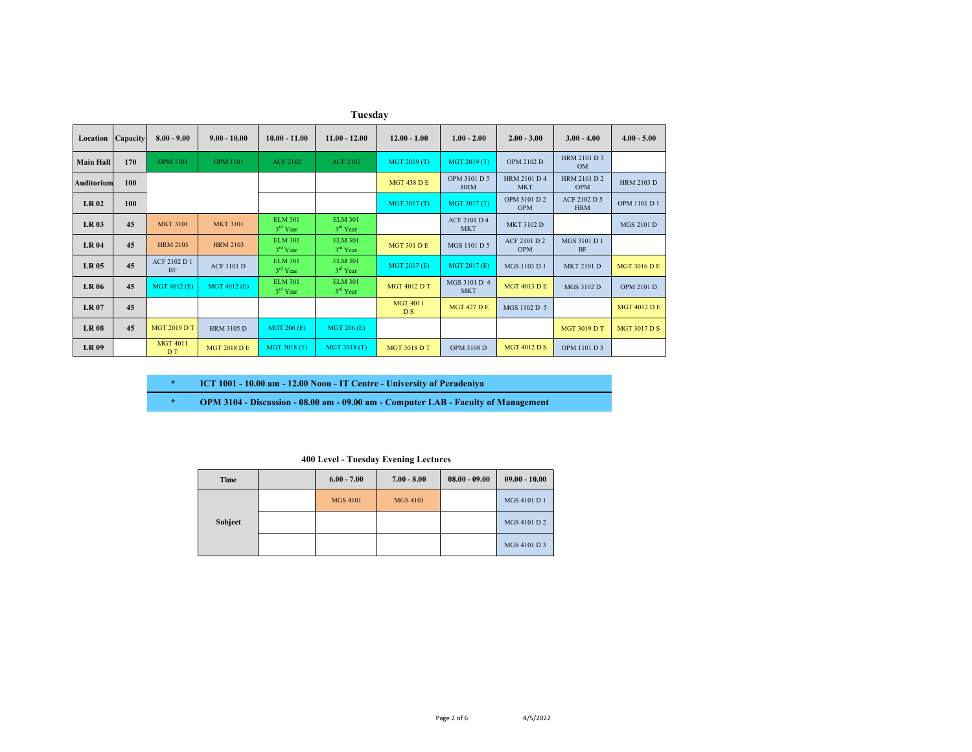|                          | Tuesday |                                   |                     |                                        |                              |                                   |                                   |                                   |                                   |                     |  |  |
|--------------------------|---------|-----------------------------------|---------------------|----------------------------------------|------------------------------|-----------------------------------|-----------------------------------|-----------------------------------|-----------------------------------|---------------------|--|--|
| <b>Location</b> Capacity |         | $8.00 - 9.00$                     | $9.00 - 10.00$      | $10.00 - 11.00$                        | $11.00 - 12.00$              | $12.00 - 1.00$                    | $1.00 - 2.00$                     | $2.00 - 3.00$                     | $3.00 - 4.00$                     | $4.00 - 5.00$       |  |  |
| <b>Main Hall</b>         | 170     | <b>OPM 1101</b>                   | <b>OPM 1101</b>     | <b>ACF 2102</b>                        | <b>ACF 2102</b>              | MGT 2019 (T)                      | MGT 2019 (T)                      | <b>OPM 2102 D</b>                 | HRM 2101 D 3<br><b>OM</b>         |                     |  |  |
| Auditorium               | 100     |                                   |                     |                                        |                              | <b>MGT 438 D E</b>                | OPM 3101 D 5<br><b>HRM</b>        | <b>HRM 2101 D 4</b><br><b>MKT</b> | <b>HRM 2101 D 2</b><br><b>OPM</b> | <b>HRM 2103 D</b>   |  |  |
| <b>LR02</b>              | 100     |                                   |                     |                                        |                              | MGT 3017 (T)                      | MGT 3017 (T)                      | OPM 3101 D 2<br><b>OPM</b>        | ACF 2102 D 5<br><b>HRM</b>        | OPM 1101 D 1        |  |  |
| <b>LR03</b>              | 45      | <b>MKT 3101</b>                   | <b>MKT 3101</b>     | <b>ELM 301</b><br>$3rd$ Year           | <b>ELM 301</b><br>$3rd$ Year |                                   | <b>ACF 2101 D 4</b><br><b>MKT</b> | <b>MKT 3102 D</b>                 |                                   | <b>MGS 2101 D</b>   |  |  |
| <b>LR 04</b>             | 45      | <b>HRM 2103</b>                   | <b>HRM 2103</b>     | <b>ELM 301</b><br>$3rd$ Year           | <b>ELM 301</b><br>$3rd$ Year | <b>MGT 301 D E</b>                | MGS 1101 D 5                      | ACF 2101 D 2<br><b>OPM</b>        | MGS 3101 D 1<br><b>BF</b>         |                     |  |  |
| <b>LR05</b>              | 45      | ACF 2102 D 1<br><b>BF</b>         | <b>ACF 3101 D</b>   | <b>ELM 301</b><br>3 <sup>rd</sup> Year | <b>ELM 301</b><br>$3rd$ Year | MGT 2017 (E)                      | MGT 2017 (E)                      | MGS 1103 D 1                      | <b>MKT 2101 D</b>                 | <b>MGT 3016 D E</b> |  |  |
| <b>LR 06</b>             | 45      | MGT 4012 (E)                      | MGT 4012 (E)        | <b>ELM 301</b><br>3 <sup>rd</sup> Year | <b>ELM 301</b><br>$3rd$ Year | <b>MGT 4012 D T</b>               | MGS 3101 D 4<br><b>MKT</b>        | <b>MGT 4013 D E</b>               | MGS 3102 D                        | <b>OPM 2101 D</b>   |  |  |
| <b>LR 07</b>             | 45      |                                   |                     |                                        |                              | <b>MGT 4011</b><br>D <sub>S</sub> | <b>MGT 427 D E</b>                | MGS 1102 D 5                      |                                   | <b>MGT 4012 D E</b> |  |  |
| <b>LR08</b>              | 45      | <b>MGT 2019 D T</b>               | <b>HRM 3105 D</b>   | MGT 206 (E)                            | <b>MGT 206 (E)</b>           |                                   |                                   |                                   | <b>MGT 3019 D T</b>               | <b>MGT 3017 D S</b> |  |  |
| <b>LR 09</b>             |         | <b>MGT 4011</b><br>D <sub>T</sub> | <b>MGT 2018 D E</b> | MGT 3018 (T)                           | MGT 3018 (T)                 | <b>MGT 3018 D T</b>               | <b>OPM 3108 D</b>                 | <b>MGT 4012 D S</b>               | OPM 1101 D 3                      |                     |  |  |

**\* ICT 1001 - 10.00 am - 12.00 Noon - IT Centre - University of Peradeniya**

**\* OPM 3104 - Discussion - 08.00 am - 09.00 am - Computer LAB - Faculty of Management**

#### **400 Level - Tuesday Evening Lectures**

| Time    | $6.00 - 7.00$   | $7.00 - 8.00$   | $08.00 - 09.00$ | $09.00 - 10.00$ |
|---------|-----------------|-----------------|-----------------|-----------------|
|         | <b>MGS 4101</b> | <b>MGS 4101</b> |                 | MGS 4101 D 1    |
| Subject |                 |                 |                 | MGS 4101 D 2    |
|         |                 |                 |                 | MGS 4101 D 3    |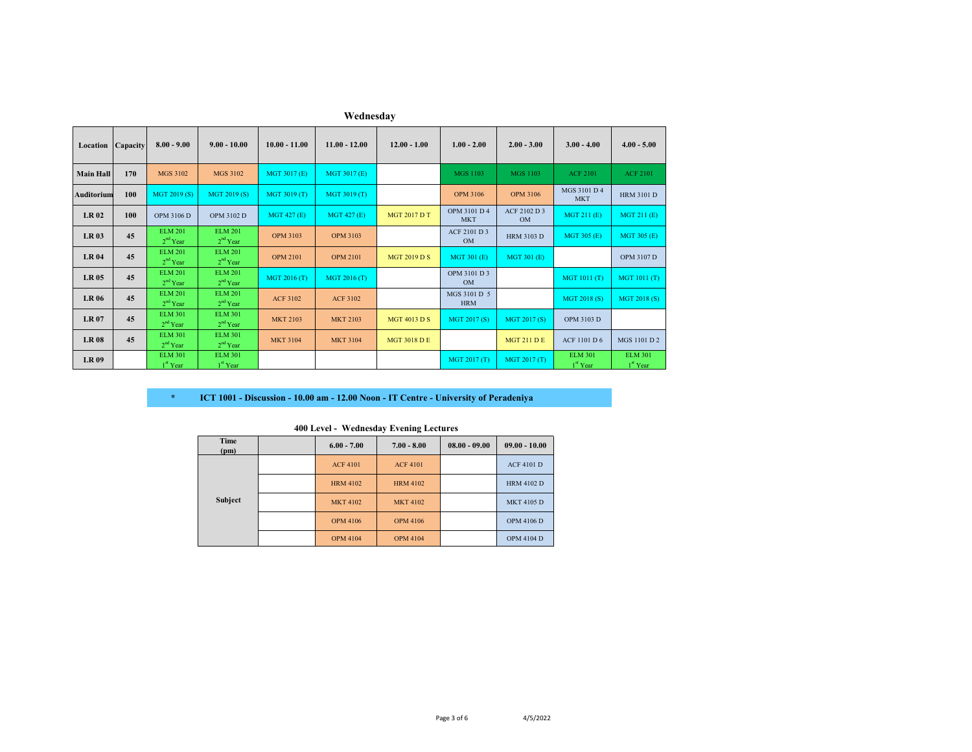| Location          | Capacity | $8.00 - 9.00$                          | $9.00 - 10.00$                         | $10.00 - 11.00$    | $11.00 - 12.00$    | $12.00 - 1.00$      | $1.00 - 2.00$              | $2.00 - 3.00$             | $3.00 - 4.00$                | $4.00 - 5.00$                          |
|-------------------|----------|----------------------------------------|----------------------------------------|--------------------|--------------------|---------------------|----------------------------|---------------------------|------------------------------|----------------------------------------|
| <b>Main Hall</b>  | 170      | MGS 3102                               | MGS 3102                               | MGT 3017 (E)       | MGT 3017 (E)       |                     | <b>MGS 1103</b>            | <b>MGS 1103</b>           | <b>ACF 2101</b>              | <b>ACF 2101</b>                        |
| <b>Auditorium</b> | 100      | MGT 2019 (S)                           | MGT 2019 (S)                           | MGT 3019 (T)       | MGT 3019 (T)       |                     | <b>OPM 3106</b>            | <b>OPM 3106</b>           | MGS 3101 D 4<br><b>MKT</b>   | <b>HRM 3101 D</b>                      |
| <b>LR02</b>       | 100      | OPM 3106 D                             | OPM 3102 D                             | <b>MGT 427 (E)</b> | <b>MGT 427 (E)</b> | <b>MGT 2017 D T</b> | OPM 3101 D 4<br><b>MKT</b> | ACF 2102 D 3<br><b>OM</b> | MGT 211 (E)                  | MGT 211 (E)                            |
| <b>LR03</b>       | 45       | <b>ELM 201</b><br>$2nd$ Year           | <b>ELM 201</b><br>$2nd$ Year           | <b>OPM 3103</b>    | <b>OPM 3103</b>    |                     | ACF 2101 D 3<br><b>OM</b>  | <b>HRM 3103 D</b>         | MGT 305 (E)                  | MGT 305 (E)                            |
| <b>LR 04</b>      | 45       | <b>ELM 201</b><br>2 <sup>nd</sup> Year | <b>ELM 201</b><br>$2nd$ Year           | <b>OPM 2101</b>    | <b>OPM 2101</b>    | <b>MGT 2019 D S</b> | MGT 301 (E)                | <b>MGT 301 (E)</b>        |                              | OPM 3107 D                             |
| <b>LR05</b>       | 45       | <b>ELM 201</b><br>2 <sup>nd</sup> Year | <b>ELM 201</b><br>2 <sup>nd</sup> Year | MGT 2016 (T)       | MGT 2016 (T)       |                     | OPM 3101 D 3<br><b>OM</b>  |                           | MGT 1011 (T)                 | MGT 1011 (T)                           |
| <b>LR 06</b>      | 45       | <b>ELM 201</b><br>$2nd$ Year           | <b>ELM 201</b><br>2 <sup>nd</sup> Year | <b>ACF 3102</b>    | <b>ACF 3102</b>    |                     | MGS 3101 D 5<br><b>HRM</b> |                           | MGT 2018 (S)                 | MGT 2018 (S)                           |
| <b>LR07</b>       | 45       | <b>ELM 301</b><br>2 <sup>nd</sup> Year | <b>ELM 301</b><br>$2nd$ Year           | <b>MKT 2103</b>    | <b>MKT 2103</b>    | <b>MGT 4013 D S</b> | MGT 2017 (S)               | MGT 2017 (S)              | OPM 3103 D                   |                                        |
| <b>LR 08</b>      | 45       | <b>ELM 301</b><br>2 <sup>nd</sup> Year | <b>ELM 301</b><br>$2nd$ Year           | <b>MKT 3104</b>    | <b>MKT 3104</b>    | <b>MGT 3018 D E</b> |                            | <b>MGT 211 D E</b>        | <b>ACF 1101 D 6</b>          | MGS 1101 D 2                           |
| <b>LR 09</b>      |          | <b>ELM 301</b><br>1 <sup>st</sup> Year | <b>ELM 301</b><br>1 <sup>st</sup> Year |                    |                    |                     | MGT 2017 (T)               | MGT 2017 (T)              | <b>ELM 301</b><br>$1st$ Year | <b>ELM 301</b><br>1 <sup>st</sup> Year |

**Wednesday**

#### **\* ICT 1001 - Discussion - 10.00 am - 12.00 Noon - IT Centre - University of Peradeniya**

| Time<br>(pm) | $6.00 - 7.00$   | $7.00 - 8.00$   | $08.00 - 09.00$ | $09.00 - 10.00$   |
|--------------|-----------------|-----------------|-----------------|-------------------|
|              | <b>ACF 4101</b> | <b>ACF 4101</b> |                 | <b>ACF 4101 D</b> |
|              | <b>HRM 4102</b> | <b>HRM 4102</b> |                 | <b>HRM 4102 D</b> |
| Subject      | <b>MKT 4102</b> | <b>MKT 4102</b> |                 | <b>MKT 4105 D</b> |
|              | <b>OPM 4106</b> | <b>OPM 4106</b> |                 | <b>OPM 4106 D</b> |
|              | <b>OPM 4104</b> | <b>OPM 4104</b> |                 | <b>OPM 4104 D</b> |

**400 Level - Wednesday Evening Lectures**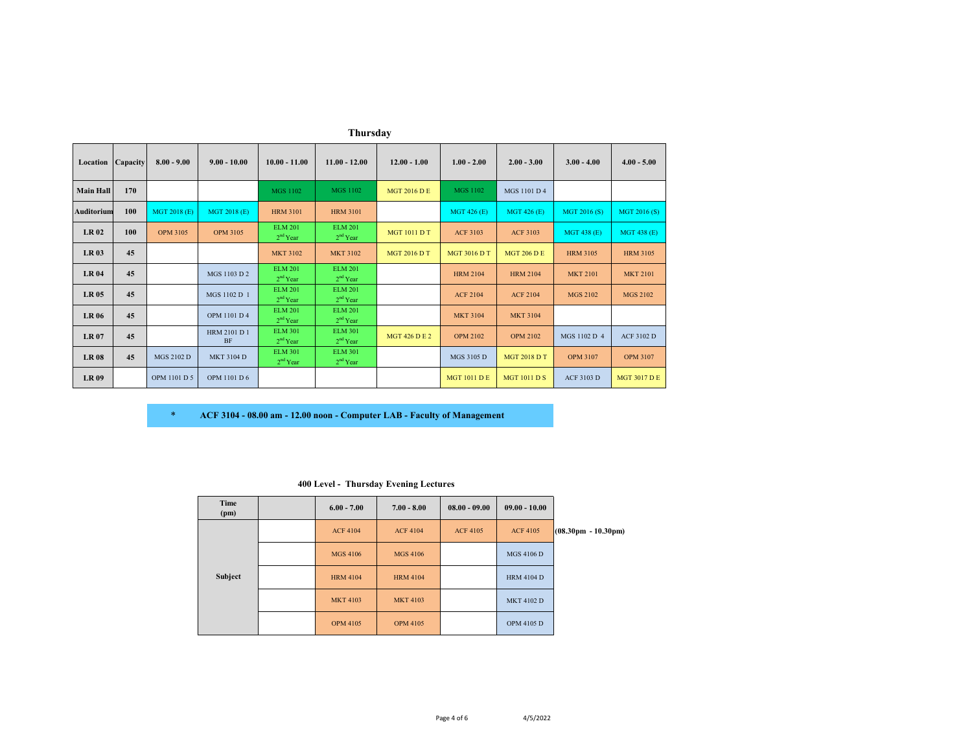|                   | Thursday |                 |                           |                                        |                                        |                      |                     |                     |                   |                     |  |  |
|-------------------|----------|-----------------|---------------------------|----------------------------------------|----------------------------------------|----------------------|---------------------|---------------------|-------------------|---------------------|--|--|
| Location          | Capacity | $8.00 - 9.00$   | $9.00 - 10.00$            | $10.00 - 11.00$                        | $11.00 - 12.00$                        | $12.00 - 1.00$       | $1.00 - 2.00$       | $2.00 - 3.00$       | $3.00 - 4.00$     | $4.00 - 5.00$       |  |  |
| <b>Main Hall</b>  | 170      |                 |                           | <b>MGS 1102</b>                        | <b>MGS 1102</b>                        | <b>MGT 2016 D E</b>  | <b>MGS 1102</b>     | MGS 1101 D 4        |                   |                     |  |  |
| <b>Auditorium</b> | 100      | MGT 2018 (E)    | MGT 2018 (E)              | <b>HRM 3101</b>                        | <b>HRM 3101</b>                        |                      | MGT 426 (E)         | <b>MGT 426 (E)</b>  | MGT 2016 (S)      | MGT 2016 (S)        |  |  |
| <b>LR02</b>       | 100      | <b>OPM 3105</b> | <b>OPM 3105</b>           | <b>ELM 201</b><br>$2nd$ Year           | <b>ELM 201</b><br>2 <sup>nd</sup> Year | <b>MGT 1011 D T</b>  | <b>ACF 3103</b>     | <b>ACF 3103</b>     | MGT 438 (E)       | <b>MGT 438 (E)</b>  |  |  |
| <b>LR03</b>       | 45       |                 |                           | <b>MKT 3102</b>                        | <b>MKT 3102</b>                        | <b>MGT 2016 D T</b>  | <b>MGT 3016 D T</b> | <b>MGT 206 D E</b>  | <b>HRM 3105</b>   | <b>HRM 3105</b>     |  |  |
| <b>LR04</b>       | 45       |                 | MGS 1103 D 2              | <b>ELM 201</b><br>2 <sup>nd</sup> Year | <b>ELM 201</b><br>2 <sup>nd</sup> Year |                      | <b>HRM 2104</b>     | <b>HRM 2104</b>     | <b>MKT 2101</b>   | <b>MKT 2101</b>     |  |  |
| <b>LR05</b>       | 45       |                 | MGS 1102 D 1              | <b>ELM 201</b><br>2 <sup>nd</sup> Year | <b>ELM 201</b><br>2 <sup>nd</sup> Year |                      | <b>ACF 2104</b>     | <b>ACF 2104</b>     | <b>MGS 2102</b>   | <b>MGS 2102</b>     |  |  |
| <b>LR 06</b>      | 45       |                 | OPM 1101 D 4              | <b>ELM 201</b><br>$2nd$ Year           | <b>ELM 201</b><br>2 <sup>nd</sup> Year |                      | <b>MKT 3104</b>     | <b>MKT 3104</b>     |                   |                     |  |  |
| <b>LR 07</b>      | 45       |                 | HRM 2101 D 1<br><b>BF</b> | <b>ELM 301</b><br>$2nd$ Year           | <b>ELM 301</b><br>2 <sup>nd</sup> Year | <b>MGT 426 D E 2</b> | <b>OPM 2102</b>     | <b>OPM 2102</b>     | MGS 1102 D 4      | ACF 3102 D          |  |  |
| <b>LR08</b>       | 45       | MGS 2102 D      | <b>MKT 3104 D</b>         | <b>ELM 301</b><br>2 <sup>nd</sup> Year | <b>ELM 301</b><br>2 <sup>nd</sup> Year |                      | MGS 3105 D          | <b>MGT 2018 D T</b> | <b>OPM 3107</b>   | <b>OPM 3107</b>     |  |  |
| <b>LR 09</b>      |          | OPM 1101 D 5    | OPM 1101 D 6              |                                        |                                        |                      | <b>MGT 1011 D E</b> | <b>MGT 1011 D S</b> | <b>ACF 3103 D</b> | <b>MGT 3017 D E</b> |  |  |

| ACF 3104 - 08.00 am - 12.00 noon - Computer LAB - Faculty of Management |  |
|-------------------------------------------------------------------------|--|

|  |  |  | 400 Level - Thursday Evening Lectures |  |  |
|--|--|--|---------------------------------------|--|--|
|--|--|--|---------------------------------------|--|--|

| Time<br>(pm) | $6.00 - 7.00$   | $7.00 - 8.00$   | $08.00 - 09.00$ | $09.00 - 10.00$   |                                       |
|--------------|-----------------|-----------------|-----------------|-------------------|---------------------------------------|
|              | <b>ACF 4104</b> | <b>ACF 4104</b> | <b>ACF 4105</b> | <b>ACF 4105</b>   | $(08.30 \text{pm} - 10.30 \text{pm})$ |
|              | <b>MGS 4106</b> | <b>MGS 4106</b> |                 | <b>MGS 4106 D</b> |                                       |
| Subject      | <b>HRM 4104</b> | <b>HRM 4104</b> |                 | <b>HRM 4104 D</b> |                                       |
|              | <b>MKT 4103</b> | <b>MKT 4103</b> |                 | <b>MKT 4102 D</b> |                                       |
|              | <b>OPM 4105</b> | <b>OPM 4105</b> |                 | <b>OPM 4105 D</b> |                                       |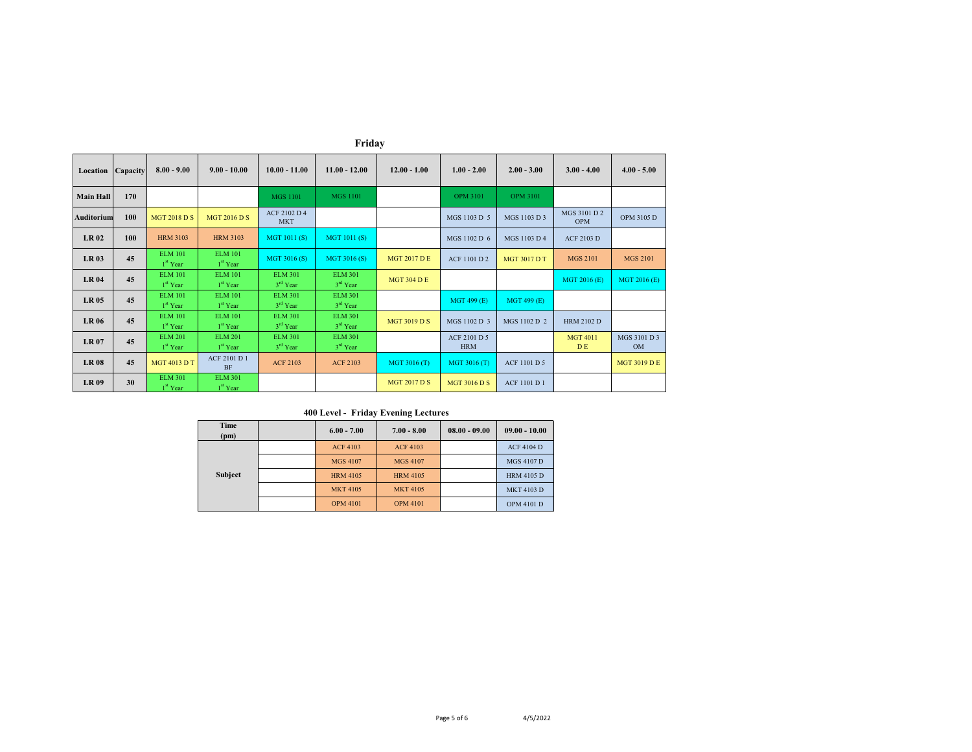| Location          | Capacity | $8.00 - 9.00$                          | $9.00 - 10.00$                   | $10.00 - 11.00$              | $11.00 - 12.00$              | $12.00 - 1.00$      | $1.00 - 2.00$              | $2.00 - 3.00$       | $3.00 - 4.00$              | $4.00 - 5.00$             |
|-------------------|----------|----------------------------------------|----------------------------------|------------------------------|------------------------------|---------------------|----------------------------|---------------------|----------------------------|---------------------------|
| <b>Main Hall</b>  | 170      |                                        |                                  | <b>MGS 1101</b>              | <b>MGS 1101</b>              |                     | <b>OPM 3101</b>            | <b>OPM 3101</b>     |                            |                           |
| <b>Auditorium</b> | 100      | <b>MGT 2018 D S</b>                    | <b>MGT 2016 D S</b>              | ACF 2102 D 4<br><b>MKT</b>   |                              |                     | MGS 1103 D 5               | MGS 1103 D 3        | MGS 3101 D 2<br><b>OPM</b> | OPM 3105 D                |
| <b>LR02</b>       | 100      | <b>HRM 3103</b>                        | <b>HRM 3103</b>                  | MGT 1011(S)                  | MGT 1011 (S)                 |                     | MGS 1102 D 6               | MGS 1103 D 4        | <b>ACF 2103 D</b>          |                           |
| <b>LR03</b>       | 45       | <b>ELM 101</b><br>$1st$ Year           | <b>ELM 101</b><br>$1st$ Year     | MGT 3016 (S)                 | MGT 3016 (S)                 | <b>MGT 2017 D E</b> | <b>ACF 1101 D 2</b>        | <b>MGT 3017 D T</b> | <b>MGS 2101</b>            | <b>MGS 2101</b>           |
| <b>LR 04</b>      | 45       | <b>ELM 101</b><br>1 <sup>st</sup> Year | <b>ELM 101</b><br>$1st$ Year     | <b>ELM 301</b><br>$3rd$ Year | <b>ELM 301</b><br>$3rd$ Year | <b>MGT 304 D E</b>  |                            |                     | MGT 2016 (E)               | MGT 2016 (E)              |
| <b>LR 05</b>      | 45       | <b>ELM 101</b><br>1 <sup>st</sup> Year | <b>ELM 101</b><br>$1st$ Year     | <b>ELM 301</b><br>$3rd$ Year | <b>ELM 301</b><br>$3rd$ Year |                     | MGT 499 (E)                | <b>MGT 499 (E)</b>  |                            |                           |
| <b>LR 06</b>      | 45       | <b>ELM 101</b><br>1 <sup>st</sup> Year | <b>ELM 101</b><br>$1st$ Year     | <b>ELM 301</b><br>$3rd$ Year | <b>ELM 301</b><br>$3rd$ Year | <b>MGT 3019 D S</b> | MGS 1102 D 3               | MGS 1102 D 2        | <b>HRM 2102 D</b>          |                           |
| <b>LR07</b>       | 45       | <b>ELM 201</b><br>$1st$ Year           | <b>ELM 201</b><br>$1st$ Year     | <b>ELM 301</b><br>$3rd$ Year | <b>ELM 301</b><br>$3rd$ Year |                     | ACF 2101 D 5<br><b>HRM</b> |                     | <b>MGT 4011</b><br>D E     | MGS 3101 D 3<br><b>OM</b> |
| <b>LR08</b>       | 45       | <b>MGT 4013 D T</b>                    | <b>ACF 2101 D 1</b><br><b>BF</b> | <b>ACF 2103</b>              | <b>ACF 2103</b>              | MGT 3016 (T)        | MGT 3016 (T)               | ACF 1101 D 5        |                            | <b>MGT 3019 D E</b>       |
| <b>LR09</b>       | 30       | <b>ELM 301</b><br>1 <sup>st</sup> Year | <b>ELM 301</b><br>$1st$ Year     |                              |                              | <b>MGT 2017 D S</b> | <b>MGT 3016 D S</b>        | <b>ACF 1101 D 1</b> |                            |                           |

**Friday**

## **400 Level - Friday Evening Lectures**

| Time<br>(pm)   | $6.00 - 7.00$   | $7.00 - 8.00$   | $08.00 - 09.00$ | $09.00 - 10.00$   |
|----------------|-----------------|-----------------|-----------------|-------------------|
|                | <b>ACF 4103</b> | <b>ACF 4103</b> |                 | <b>ACF 4104 D</b> |
|                | <b>MGS 4107</b> | <b>MGS 4107</b> |                 | <b>MGS 4107 D</b> |
| <b>Subject</b> | <b>HRM 4105</b> | <b>HRM 4105</b> |                 | <b>HRM 4105 D</b> |
|                | <b>MKT 4105</b> | <b>MKT 4105</b> |                 | <b>MKT 4103 D</b> |
|                | <b>OPM 4101</b> | <b>OPM 4101</b> |                 | <b>OPM 4101 D</b> |